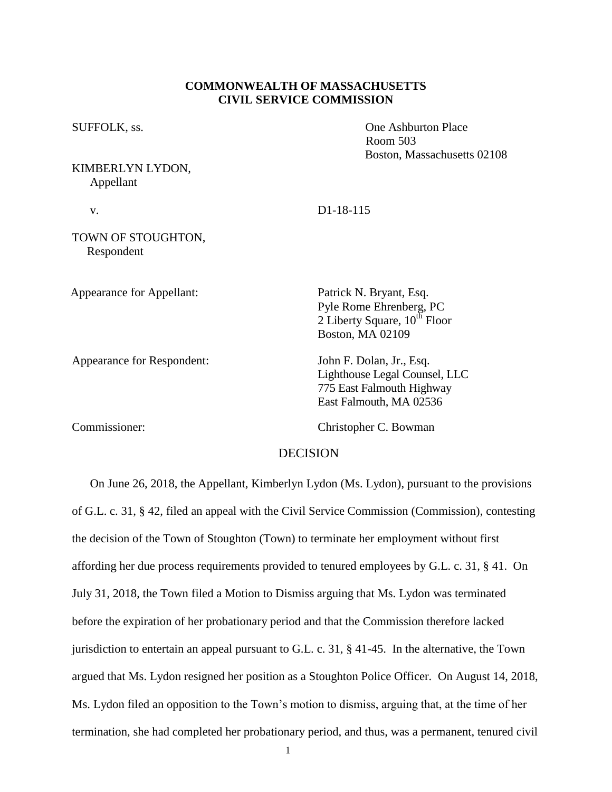### **COMMONWEALTH OF MASSACHUSETTS CIVIL SERVICE COMMISSION**

## KIMBERLYN LYDON, Appellant

SUFFOLK, ss.  $\qquad \qquad \text{One Ashburton Place}$ Room 503 Boston, Massachusetts 02108

v. D1-18-115

### TOWN OF STOUGHTON, Respondent

Appearance for Appellant: Patrick N. Bryant, Esq.

Appearance for Respondent: John F. Dolan, Jr., Esq.

2 Liberty Square,  $10^{th}$  Floor Boston, MA 02109

Pyle Rome Ehrenberg, PC

Lighthouse Legal Counsel, LLC 775 East Falmouth Highway East Falmouth, MA 02536

Commissioner: Christopher C. Bowman

## DECISION

 On June 26, 2018, the Appellant, Kimberlyn Lydon (Ms. Lydon), pursuant to the provisions of G.L. c. 31, § 42, filed an appeal with the Civil Service Commission (Commission), contesting the decision of the Town of Stoughton (Town) to terminate her employment without first affording her due process requirements provided to tenured employees by G.L. c. 31, § 41. On July 31, 2018, the Town filed a Motion to Dismiss arguing that Ms. Lydon was terminated before the expiration of her probationary period and that the Commission therefore lacked jurisdiction to entertain an appeal pursuant to G.L. c. 31, § 41-45. In the alternative, the Town argued that Ms. Lydon resigned her position as a Stoughton Police Officer. On August 14, 2018, Ms. Lydon filed an opposition to the Town's motion to dismiss, arguing that, at the time of her termination, she had completed her probationary period, and thus, was a permanent, tenured civil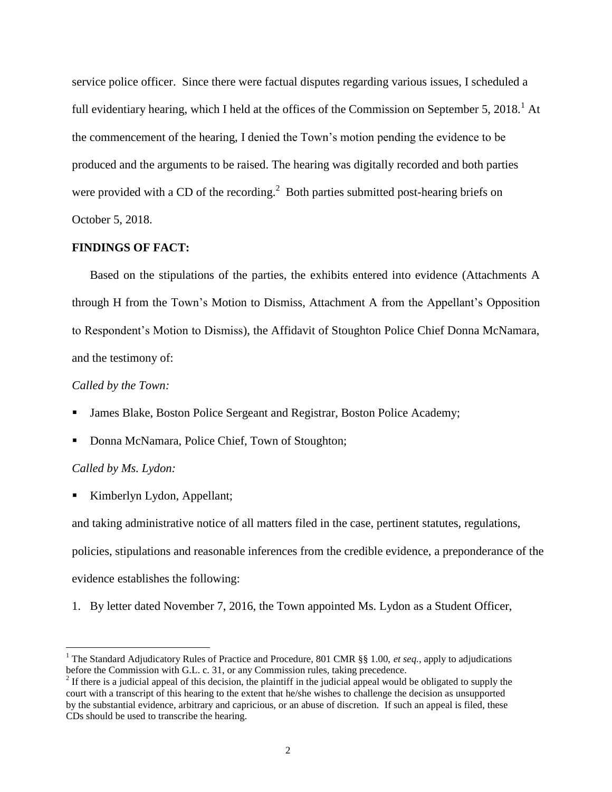service police officer. Since there were factual disputes regarding various issues, I scheduled a full evidentiary hearing, which I held at the offices of the Commission on September 5,  $2018<sup>1</sup>$  At the commencement of the hearing, I denied the Town's motion pending the evidence to be produced and the arguments to be raised. The hearing was digitally recorded and both parties were provided with a CD of the recording.<sup>2</sup> Both parties submitted post-hearing briefs on October 5, 2018.

#### **FINDINGS OF FACT:**

 Based on the stipulations of the parties, the exhibits entered into evidence (Attachments A through H from the Town's Motion to Dismiss, Attachment A from the Appellant's Opposition to Respondent's Motion to Dismiss), the Affidavit of Stoughton Police Chief Donna McNamara, and the testimony of:

### *Called by the Town:*

- James Blake, Boston Police Sergeant and Registrar, Boston Police Academy;
- Donna McNamara, Police Chief, Town of Stoughton;

### *Called by Ms. Lydon:*

 $\overline{a}$ 

Kimberlyn Lydon, Appellant;

and taking administrative notice of all matters filed in the case, pertinent statutes, regulations, policies, stipulations and reasonable inferences from the credible evidence, a preponderance of the evidence establishes the following:

1. By letter dated November 7, 2016, the Town appointed Ms. Lydon as a Student Officer,

<sup>&</sup>lt;sup>1</sup> The Standard Adjudicatory Rules of Practice and Procedure, 801 CMR §§ 1.00, *et seq.*, apply to adjudications before the Commission with G.L. c. 31, or any Commission rules, taking precedence.

 $2<sup>2</sup>$  If there is a judicial appeal of this decision, the plaintiff in the judicial appeal would be obligated to supply the court with a transcript of this hearing to the extent that he/she wishes to challenge the decision as unsupported by the substantial evidence, arbitrary and capricious, or an abuse of discretion. If such an appeal is filed, these CDs should be used to transcribe the hearing.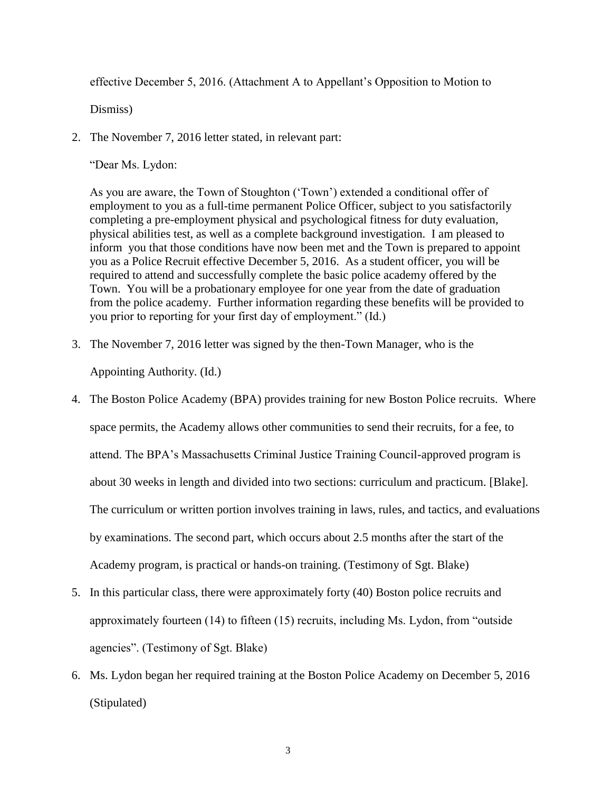effective December 5, 2016. (Attachment A to Appellant's Opposition to Motion to

Dismiss)

2. The November 7, 2016 letter stated, in relevant part:

"Dear Ms. Lydon:

As you are aware, the Town of Stoughton ('Town') extended a conditional offer of employment to you as a full-time permanent Police Officer, subject to you satisfactorily completing a pre-employment physical and psychological fitness for duty evaluation, physical abilities test, as well as a complete background investigation. I am pleased to inform you that those conditions have now been met and the Town is prepared to appoint you as a Police Recruit effective December 5, 2016. As a student officer, you will be required to attend and successfully complete the basic police academy offered by the Town. You will be a probationary employee for one year from the date of graduation from the police academy. Further information regarding these benefits will be provided to you prior to reporting for your first day of employment." (Id.)

3. The November 7, 2016 letter was signed by the then-Town Manager, who is the

Appointing Authority. (Id.)

- 4. The Boston Police Academy (BPA) provides training for new Boston Police recruits. Where space permits, the Academy allows other communities to send their recruits, for a fee, to attend. The BPA's Massachusetts Criminal Justice Training Council-approved program is about 30 weeks in length and divided into two sections: curriculum and practicum. [Blake]. The curriculum or written portion involves training in laws, rules, and tactics, and evaluations by examinations. The second part, which occurs about 2.5 months after the start of the Academy program, is practical or hands-on training. (Testimony of Sgt. Blake)
- 5. In this particular class, there were approximately forty (40) Boston police recruits and approximately fourteen (14) to fifteen (15) recruits, including Ms. Lydon, from "outside agencies". (Testimony of Sgt. Blake)
- 6. Ms. Lydon began her required training at the Boston Police Academy on December 5, 2016 (Stipulated)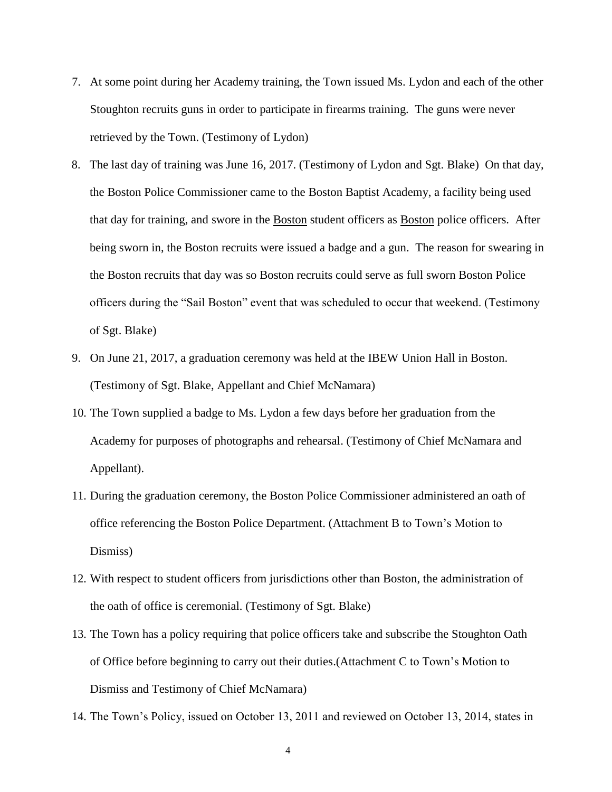- 7. At some point during her Academy training, the Town issued Ms. Lydon and each of the other Stoughton recruits guns in order to participate in firearms training. The guns were never retrieved by the Town. (Testimony of Lydon)
- 8. The last day of training was June 16, 2017. (Testimony of Lydon and Sgt. Blake) On that day, the Boston Police Commissioner came to the Boston Baptist Academy, a facility being used that day for training, and swore in the Boston student officers as Boston police officers. After being sworn in, the Boston recruits were issued a badge and a gun. The reason for swearing in the Boston recruits that day was so Boston recruits could serve as full sworn Boston Police officers during the "Sail Boston" event that was scheduled to occur that weekend. (Testimony of Sgt. Blake)
- 9. On June 21, 2017, a graduation ceremony was held at the IBEW Union Hall in Boston. (Testimony of Sgt. Blake, Appellant and Chief McNamara)
- 10. The Town supplied a badge to Ms. Lydon a few days before her graduation from the Academy for purposes of photographs and rehearsal. (Testimony of Chief McNamara and Appellant).
- 11. During the graduation ceremony, the Boston Police Commissioner administered an oath of office referencing the Boston Police Department. (Attachment B to Town's Motion to Dismiss)
- 12. With respect to student officers from jurisdictions other than Boston, the administration of the oath of office is ceremonial. (Testimony of Sgt. Blake)
- 13. The Town has a policy requiring that police officers take and subscribe the Stoughton Oath of Office before beginning to carry out their duties.(Attachment C to Town's Motion to Dismiss and Testimony of Chief McNamara)
- 14. The Town's Policy, issued on October 13, 2011 and reviewed on October 13, 2014, states in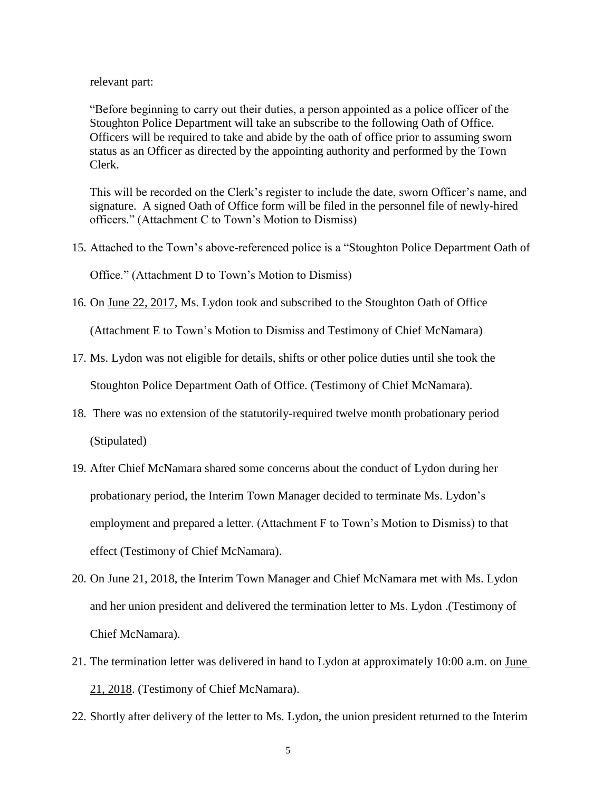relevant part:

"Before beginning to carry out their duties, a person appointed as a police officer of the Stoughton Police Department will take an subscribe to the following Oath of Office. Officers will be required to take and abide by the oath of office prior to assuming sworn status as an Officer as directed by the appointing authority and performed by the Town Clerk.

This will be recorded on the Clerk's register to include the date, sworn Officer's name, and signature. A signed Oath of Office form will be filed in the personnel file of newly-hired officers." (Attachment C to Town's Motion to Dismiss)

15. Attached to the Town's above-referenced police is a "Stoughton Police Department Oath of

Office." (Attachment D to Town's Motion to Dismiss)

16. On June 22, 2017, Ms. Lydon took and subscribed to the Stoughton Oath of Office

(Attachment E to Town's Motion to Dismiss and Testimony of Chief McNamara)

- 17. Ms. Lydon was not eligible for details, shifts or other police duties until she took the Stoughton Police Department Oath of Office. (Testimony of Chief McNamara).
- 18. There was no extension of the statutorily-required twelve month probationary period (Stipulated)
- 19. After Chief McNamara shared some concerns about the conduct of Lydon during her probationary period, the Interim Town Manager decided to terminate Ms. Lydon's employment and prepared a letter. (Attachment F to Town's Motion to Dismiss) to that effect (Testimony of Chief McNamara).
- 20. On June 21, 2018, the Interim Town Manager and Chief McNamara met with Ms. Lydon and her union president and delivered the termination letter to Ms. Lydon .(Testimony of Chief McNamara).
- 21. The termination letter was delivered in hand to Lydon at approximately 10:00 a.m. on June 21, 2018. (Testimony of Chief McNamara).
- 22. Shortly after delivery of the letter to Ms. Lydon, the union president returned to the Interim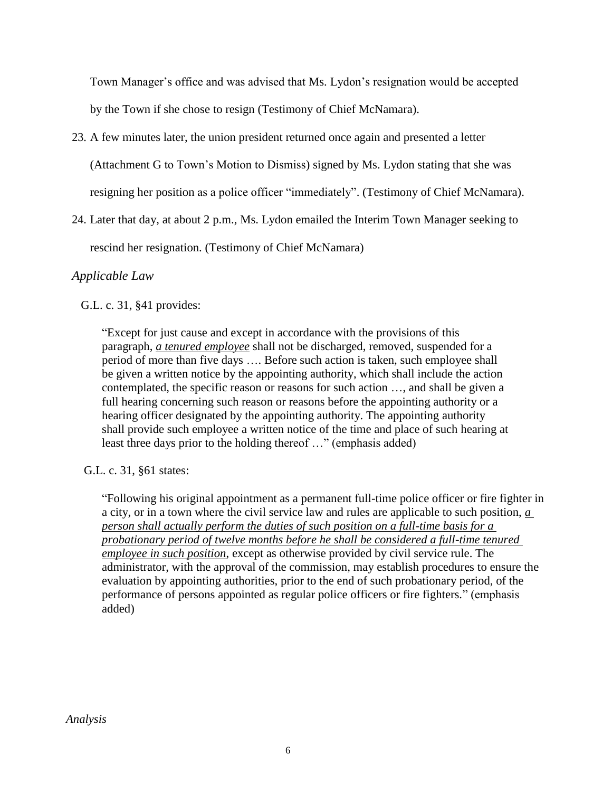Town Manager's office and was advised that Ms. Lydon's resignation would be accepted

by the Town if she chose to resign (Testimony of Chief McNamara).

23. A few minutes later, the union president returned once again and presented a letter

(Attachment G to Town's Motion to Dismiss) signed by Ms. Lydon stating that she was

resigning her position as a police officer "immediately". (Testimony of Chief McNamara).

24. Later that day, at about 2 p.m., Ms. Lydon emailed the Interim Town Manager seeking to

rescind her resignation. (Testimony of Chief McNamara)

### *Applicable Law*

G.L. c. 31, §41 provides:

"Except for just cause and except in accordance with the provisions of this paragraph, *a tenured employee* shall not be discharged, removed, suspended for a period of more than five days …. Before such action is taken, such employee shall be given a written notice by the appointing authority, which shall include the action contemplated, the specific reason or reasons for such action …, and shall be given a full hearing concerning such reason or reasons before the appointing authority or a hearing officer designated by the appointing authority. The appointing authority shall provide such employee a written notice of the time and place of such hearing at least three days prior to the holding thereof …" (emphasis added)

G.L. c. 31, §61 states:

"Following his original appointment as a permanent full-time police officer or fire fighter in a city, or in a town where the civil service law and rules are applicable to such position, *a person shall actually perform the duties of such position on a full-time basis for a probationary period of twelve months before he shall be considered a full-time tenured employee in such position*, except as otherwise provided by civil service rule. The administrator, with the approval of the commission, may establish procedures to ensure the evaluation by appointing authorities, prior to the end of such probationary period, of the performance of persons appointed as regular police officers or fire fighters." (emphasis added)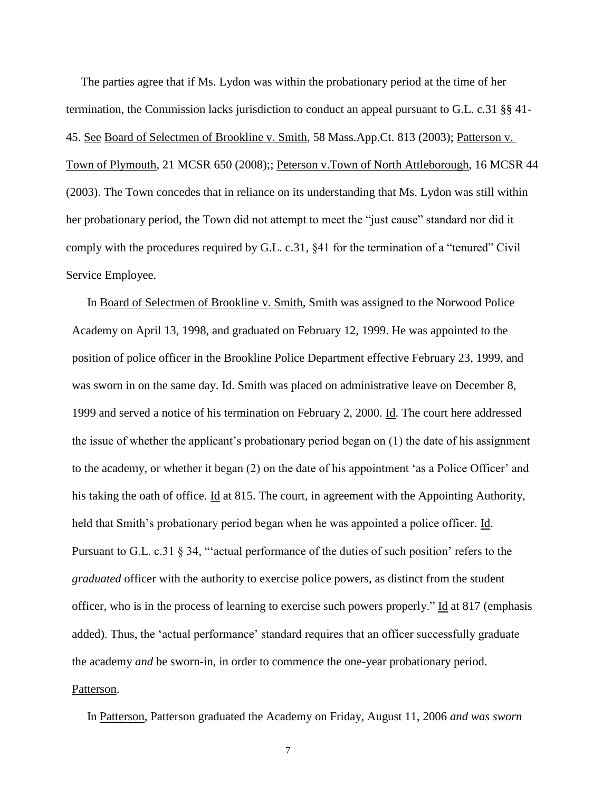The parties agree that if Ms. Lydon was within the probationary period at the time of her termination, the Commission lacks jurisdiction to conduct an appeal pursuant to G.L. c.31 §§ 41- 45. See Board of Selectmen of Brookline v. Smith, 58 Mass.App.Ct. 813 (2003); Patterson v. Town of Plymouth, 21 MCSR 650 (2008);; Peterson v.Town of North Attleborough, 16 MCSR 44 (2003). The Town concedes that in reliance on its understanding that Ms. Lydon was still within her probationary period, the Town did not attempt to meet the "just cause" standard nor did it comply with the procedures required by G.L. c.31, §41 for the termination of a "tenured" Civil Service Employee.

 In Board of Selectmen of Brookline v. Smith, Smith was assigned to the Norwood Police Academy on April 13, 1998, and graduated on February 12, 1999. He was appointed to the position of police officer in the Brookline Police Department effective February 23, 1999, and was sworn in on the same day. Id. Smith was placed on administrative leave on December 8, 1999 and served a notice of his termination on February 2, 2000. Id. The court here addressed the issue of whether the applicant's probationary period began on (1) the date of his assignment to the academy, or whether it began (2) on the date of his appointment 'as a Police Officer' and his taking the oath of office. Id at 815. The court, in agreement with the Appointing Authority, held that Smith's probationary period began when he was appointed a police officer. Id. Pursuant to G.L. c.31 § 34, "actual performance of the duties of such position' refers to the *graduated* officer with the authority to exercise police powers, as distinct from the student officer, who is in the process of learning to exercise such powers properly." Id at 817 (emphasis added). Thus, the 'actual performance' standard requires that an officer successfully graduate the academy *and* be sworn-in, in order to commence the one-year probationary period. Patterson.

In Patterson, Patterson graduated the Academy on Friday, August 11, 2006 *and was sworn* 

7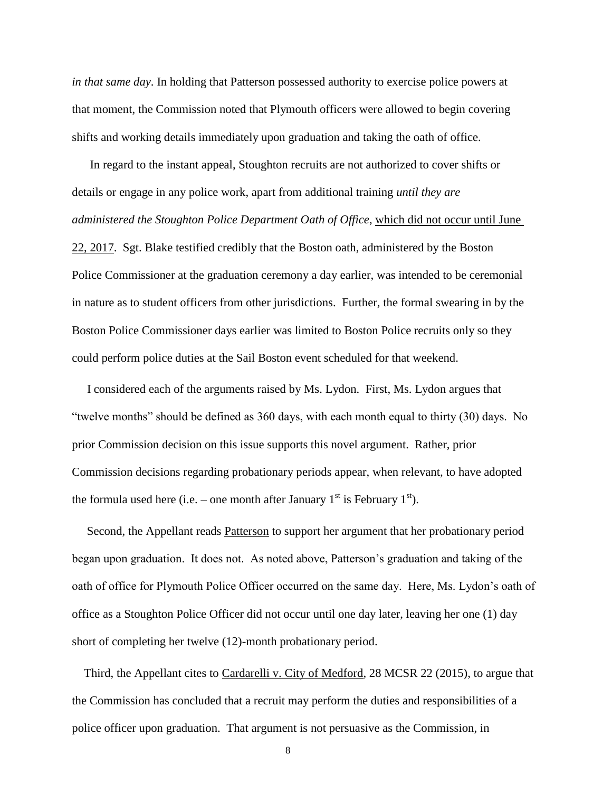*in that same day*. In holding that Patterson possessed authority to exercise police powers at that moment, the Commission noted that Plymouth officers were allowed to begin covering shifts and working details immediately upon graduation and taking the oath of office.

 In regard to the instant appeal, Stoughton recruits are not authorized to cover shifts or details or engage in any police work, apart from additional training *until they are administered the Stoughton Police Department Oath of Office*, which did not occur until June 22, 2017. Sgt. Blake testified credibly that the Boston oath, administered by the Boston Police Commissioner at the graduation ceremony a day earlier, was intended to be ceremonial in nature as to student officers from other jurisdictions. Further, the formal swearing in by the Boston Police Commissioner days earlier was limited to Boston Police recruits only so they could perform police duties at the Sail Boston event scheduled for that weekend.

 I considered each of the arguments raised by Ms. Lydon. First, Ms. Lydon argues that "twelve months" should be defined as 360 days, with each month equal to thirty (30) days. No prior Commission decision on this issue supports this novel argument. Rather, prior Commission decisions regarding probationary periods appear, when relevant, to have adopted the formula used here (i.e. – one month after January  $1<sup>st</sup>$  is February  $1<sup>st</sup>$ ).

 Second, the Appellant reads Patterson to support her argument that her probationary period began upon graduation. It does not. As noted above, Patterson's graduation and taking of the oath of office for Plymouth Police Officer occurred on the same day. Here, Ms. Lydon's oath of office as a Stoughton Police Officer did not occur until one day later, leaving her one (1) day short of completing her twelve (12)-month probationary period.

 Third, the Appellant cites to Cardarelli v. City of Medford, 28 MCSR 22 (2015), to argue that the Commission has concluded that a recruit may perform the duties and responsibilities of a police officer upon graduation. That argument is not persuasive as the Commission, in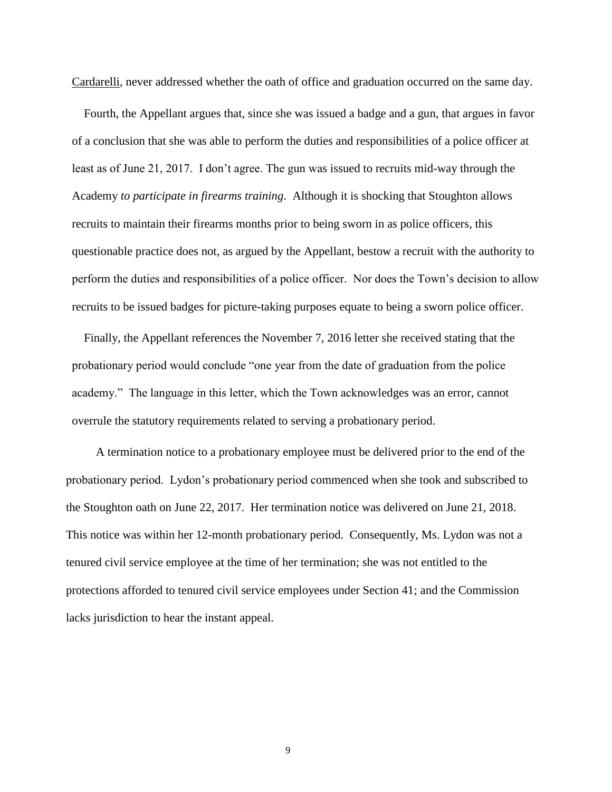Cardarelli, never addressed whether the oath of office and graduation occurred on the same day.

 Fourth, the Appellant argues that, since she was issued a badge and a gun, that argues in favor of a conclusion that she was able to perform the duties and responsibilities of a police officer at least as of June 21, 2017. I don't agree. The gun was issued to recruits mid-way through the Academy *to participate in firearms training*. Although it is shocking that Stoughton allows recruits to maintain their firearms months prior to being sworn in as police officers, this questionable practice does not, as argued by the Appellant, bestow a recruit with the authority to perform the duties and responsibilities of a police officer. Nor does the Town's decision to allow recruits to be issued badges for picture-taking purposes equate to being a sworn police officer.

 Finally, the Appellant references the November 7, 2016 letter she received stating that the probationary period would conclude "one year from the date of graduation from the police academy." The language in this letter, which the Town acknowledges was an error, cannot overrule the statutory requirements related to serving a probationary period.

 A termination notice to a probationary employee must be delivered prior to the end of the probationary period. Lydon's probationary period commenced when she took and subscribed to the Stoughton oath on June 22, 2017. Her termination notice was delivered on June 21, 2018. This notice was within her 12-month probationary period. Consequently, Ms. Lydon was not a tenured civil service employee at the time of her termination; she was not entitled to the protections afforded to tenured civil service employees under Section 41; and the Commission lacks jurisdiction to hear the instant appeal.

9